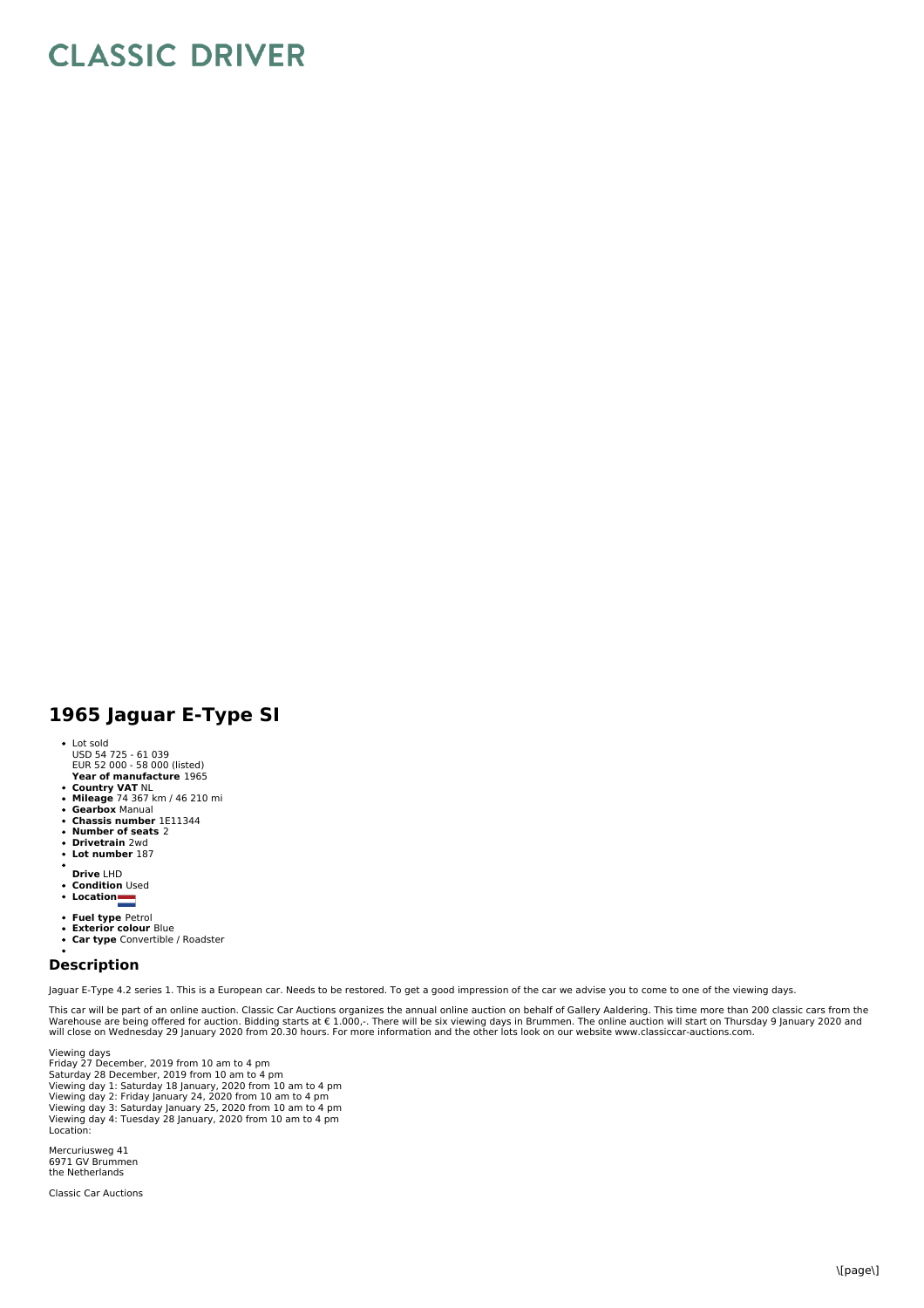## **CLASSIC DRIVER**

## **1965 Jaguar E-Type SI**

- Lot sold
- USD 54 725 61 039 EUR 52 000 58 000 (listed)
- **Year of manufacture** 1965
- 
- **Country VAT** NL **Mileage** 74 367 km / 46 210 mi **Gearbox** Manual **Chassis number** 1E11344 **Number of seats** 2
- 
- 
- $\bullet$ **Drivetrain** 2wd
- $\ddot{\phantom{a}}$ **Lot number** 187
- 
- **Drive** LHD **Condition** Used
- **Location**
- 
- **Fuel type** Petrol **Exterior colour** Blue
- **Car type** Convertible / Roadster

## **Description**

Jaguar E-Type 4.2 series 1. This is a European car. Needs to be restored. To get a good impression of the car we advise you to come to one of the viewing days.

This car will be part of an online auction. Classic Car Auctions organizes the annual online auction on behalf of Gallery Aaldering. This time more than 200 classic cars from the<br>Warehouse are being offered for auction. Bi

Viewing days Friday 27 December, 2019 from 10 am to 4 pm Saturday 28 December, 2019 from 10 am to 4 pm Viewing day 1: Saturday 18 January, 2020 from 10 am to 4 pm Viewing day 2: Friday January 24, 2020 from 10 am to 4 pm Viewing day 3: Saturday January 25, 2020 from 10 am to 4 pm Viewing day 4: Tuesday 28 January, 2020 from 10 am to 4 pm Location:

Mercuriusweg 41 6971 GV Brummen the Netherlands

Classic Car Auctions